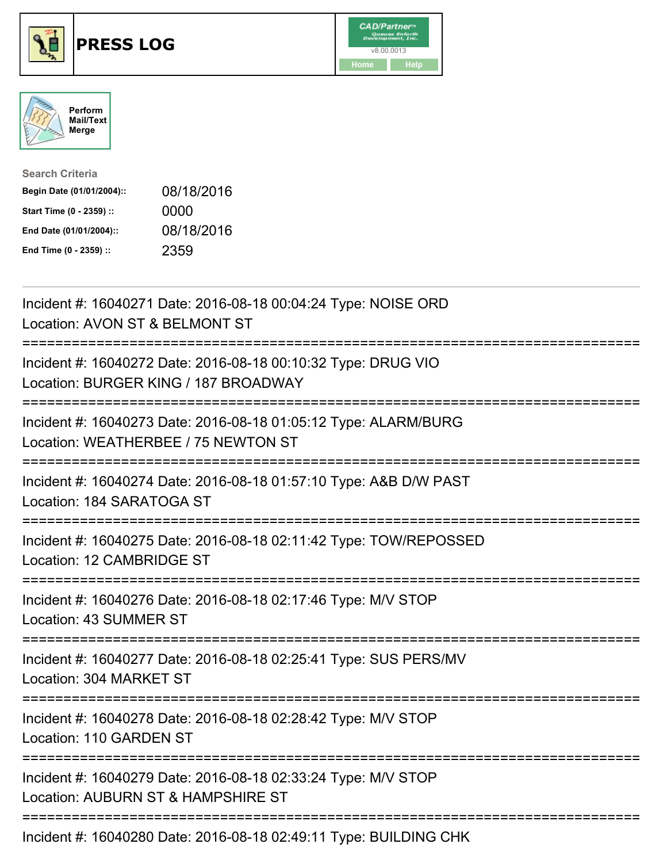





| <b>Search Criteria</b>    |            |
|---------------------------|------------|
| Begin Date (01/01/2004):: | 08/18/2016 |
| Start Time (0 - 2359) ::  | 0000       |
| End Date (01/01/2004)::   | 08/18/2016 |
| End Time (0 - 2359) ::    | 2359       |

| Incident #: 16040271 Date: 2016-08-18 00:04:24 Type: NOISE ORD<br>Location: AVON ST & BELMONT ST                                          |
|-------------------------------------------------------------------------------------------------------------------------------------------|
| Incident #: 16040272 Date: 2016-08-18 00:10:32 Type: DRUG VIO<br>Location: BURGER KING / 187 BROADWAY                                     |
| Incident #: 16040273 Date: 2016-08-18 01:05:12 Type: ALARM/BURG<br>Location: WEATHERBEE / 75 NEWTON ST<br>=============================== |
| Incident #: 16040274 Date: 2016-08-18 01:57:10 Type: A&B D/W PAST<br>Location: 184 SARATOGA ST                                            |
| Incident #: 16040275 Date: 2016-08-18 02:11:42 Type: TOW/REPOSSED<br>Location: 12 CAMBRIDGE ST<br>-------------------------------         |
| Incident #: 16040276 Date: 2016-08-18 02:17:46 Type: M/V STOP<br>Location: 43 SUMMER ST                                                   |
| Incident #: 16040277 Date: 2016-08-18 02:25:41 Type: SUS PERS/MV<br>Location: 304 MARKET ST                                               |
| :=============================<br>Incident #: 16040278 Date: 2016-08-18 02:28:42 Type: M/V STOP<br>Location: 110 GARDEN ST                |
| Incident #: 16040279 Date: 2016-08-18 02:33:24 Type: M/V STOP<br>Location: AUBURN ST & HAMPSHIRE ST                                       |
| Locident #: 46040000 Deta: 2046.00.40.00:40:44 Tune: DUILDING CUK                                                                         |

Incident #: 16040280 Date: 2016-08-18 02:49:11 Type: BUILDING CHK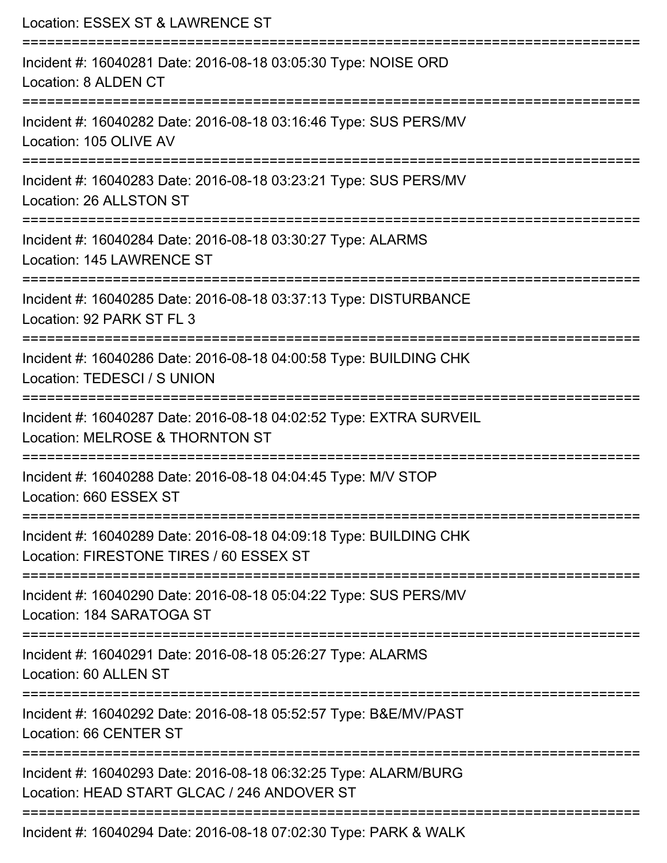| Location: ESSEX ST & LAWRENCE ST<br>----------------------------                                               |
|----------------------------------------------------------------------------------------------------------------|
| Incident #: 16040281 Date: 2016-08-18 03:05:30 Type: NOISE ORD<br>Location: 8 ALDEN CT                         |
| Incident #: 16040282 Date: 2016-08-18 03:16:46 Type: SUS PERS/MV<br>Location: 105 OLIVE AV                     |
| Incident #: 16040283 Date: 2016-08-18 03:23:21 Type: SUS PERS/MV<br>Location: 26 ALLSTON ST                    |
| Incident #: 16040284 Date: 2016-08-18 03:30:27 Type: ALARMS<br>Location: 145 LAWRENCE ST                       |
| Incident #: 16040285 Date: 2016-08-18 03:37:13 Type: DISTURBANCE<br>Location: 92 PARK ST FL 3                  |
| Incident #: 16040286 Date: 2016-08-18 04:00:58 Type: BUILDING CHK<br>Location: TEDESCI / S UNION               |
| Incident #: 16040287 Date: 2016-08-18 04:02:52 Type: EXTRA SURVEIL<br>Location: MELROSE & THORNTON ST          |
| Incident #: 16040288 Date: 2016-08-18 04:04:45 Type: M/V STOP<br>Location: 660 ESSEX ST                        |
| Incident #: 16040289 Date: 2016-08-18 04:09:18 Type: BUILDING CHK<br>Location: FIRESTONE TIRES / 60 ESSEX ST   |
| Incident #: 16040290 Date: 2016-08-18 05:04:22 Type: SUS PERS/MV<br>Location: 184 SARATOGA ST                  |
| Incident #: 16040291 Date: 2016-08-18 05:26:27 Type: ALARMS<br>Location: 60 ALLEN ST                           |
| Incident #: 16040292 Date: 2016-08-18 05:52:57 Type: B&E/MV/PAST<br>Location: 66 CENTER ST                     |
| Incident #: 16040293 Date: 2016-08-18 06:32:25 Type: ALARM/BURG<br>Location: HEAD START GLCAC / 246 ANDOVER ST |
| Incident #: 16040294 Date: 2016-08-18 07:02:30 Type: PARK & WALK                                               |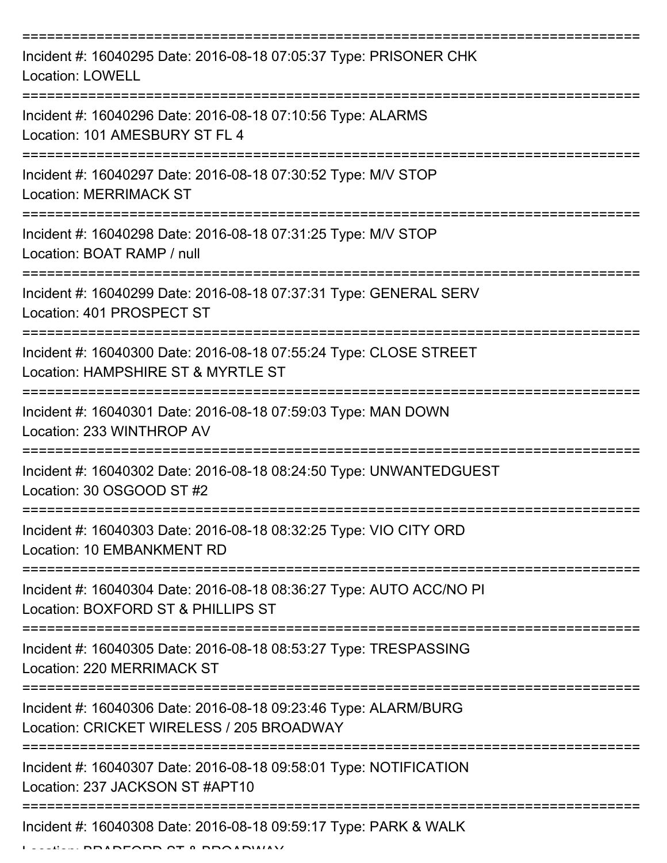| Incident #: 16040295 Date: 2016-08-18 07:05:37 Type: PRISONER CHK<br><b>Location: LOWELL</b>                                       |
|------------------------------------------------------------------------------------------------------------------------------------|
| Incident #: 16040296 Date: 2016-08-18 07:10:56 Type: ALARMS<br>Location: 101 AMESBURY ST FL 4                                      |
| Incident #: 16040297 Date: 2016-08-18 07:30:52 Type: M/V STOP<br><b>Location: MERRIMACK ST</b>                                     |
| Incident #: 16040298 Date: 2016-08-18 07:31:25 Type: M/V STOP<br>Location: BOAT RAMP / null                                        |
| Incident #: 16040299 Date: 2016-08-18 07:37:31 Type: GENERAL SERV<br>Location: 401 PROSPECT ST<br>================================ |
| Incident #: 16040300 Date: 2016-08-18 07:55:24 Type: CLOSE STREET<br>Location: HAMPSHIRE ST & MYRTLE ST                            |
| Incident #: 16040301 Date: 2016-08-18 07:59:03 Type: MAN DOWN<br>Location: 233 WINTHROP AV                                         |
| Incident #: 16040302 Date: 2016-08-18 08:24:50 Type: UNWANTEDGUEST<br>Location: 30 OSGOOD ST #2                                    |
| Incident #: 16040303 Date: 2016-08-18 08:32:25 Type: VIO CITY ORD<br>Location: 10 EMBANKMENT RD                                    |
| Incident #: 16040304 Date: 2016-08-18 08:36:27 Type: AUTO ACC/NO PI<br>Location: BOXFORD ST & PHILLIPS ST                          |
| Incident #: 16040305 Date: 2016-08-18 08:53:27 Type: TRESPASSING<br>Location: 220 MERRIMACK ST                                     |
| Incident #: 16040306 Date: 2016-08-18 09:23:46 Type: ALARM/BURG<br>Location: CRICKET WIRELESS / 205 BROADWAY                       |
| Incident #: 16040307 Date: 2016-08-18 09:58:01 Type: NOTIFICATION<br>Location: 237 JACKSON ST #APT10                               |
| Incident #: 16040308 Date: 2016-08-18 09:59:17 Type: PARK & WALK                                                                   |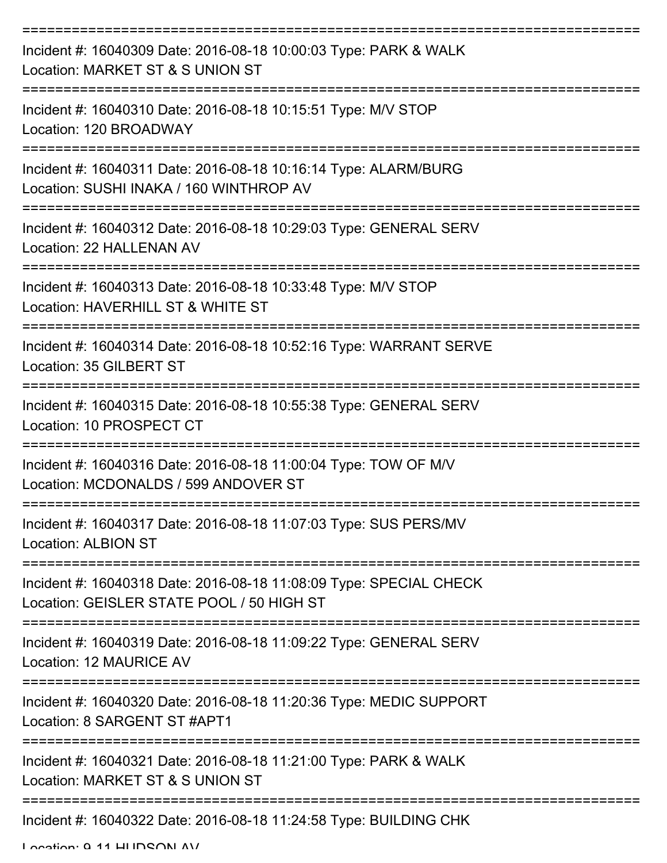| Incident #: 16040309 Date: 2016-08-18 10:00:03 Type: PARK & WALK<br>Location: MARKET ST & S UNION ST            |
|-----------------------------------------------------------------------------------------------------------------|
| Incident #: 16040310 Date: 2016-08-18 10:15:51 Type: M/V STOP<br>Location: 120 BROADWAY                         |
| Incident #: 16040311 Date: 2016-08-18 10:16:14 Type: ALARM/BURG<br>Location: SUSHI INAKA / 160 WINTHROP AV      |
| Incident #: 16040312 Date: 2016-08-18 10:29:03 Type: GENERAL SERV<br>Location: 22 HALLENAN AV                   |
| Incident #: 16040313 Date: 2016-08-18 10:33:48 Type: M/V STOP<br>Location: HAVERHILL ST & WHITE ST              |
| Incident #: 16040314 Date: 2016-08-18 10:52:16 Type: WARRANT SERVE<br>Location: 35 GILBERT ST                   |
| Incident #: 16040315 Date: 2016-08-18 10:55:38 Type: GENERAL SERV<br>Location: 10 PROSPECT CT                   |
| Incident #: 16040316 Date: 2016-08-18 11:00:04 Type: TOW OF M/V<br>Location: MCDONALDS / 599 ANDOVER ST         |
| Incident #: 16040317 Date: 2016-08-18 11:07:03 Type: SUS PERS/MV<br><b>Location: ALBION ST</b>                  |
| Incident #: 16040318 Date: 2016-08-18 11:08:09 Type: SPECIAL CHECK<br>Location: GEISLER STATE POOL / 50 HIGH ST |
| Incident #: 16040319 Date: 2016-08-18 11:09:22 Type: GENERAL SERV<br>Location: 12 MAURICE AV                    |
| Incident #: 16040320 Date: 2016-08-18 11:20:36 Type: MEDIC SUPPORT<br>Location: 8 SARGENT ST #APT1              |
| Incident #: 16040321 Date: 2016-08-18 11:21:00 Type: PARK & WALK<br>Location: MARKET ST & S UNION ST            |
| Incident #: 16040322 Date: 2016-08-18 11:24:58 Type: BUILDING CHK                                               |

Location: 9 11 HUDSON AV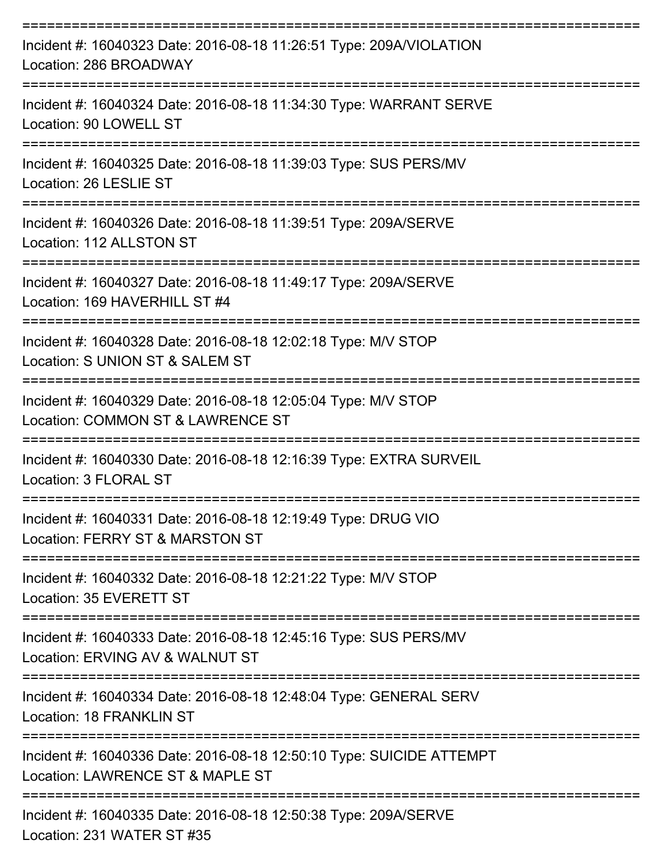| Incident #: 16040323 Date: 2016-08-18 11:26:51 Type: 209A/VIOLATION<br>Location: 286 BROADWAY            |
|----------------------------------------------------------------------------------------------------------|
| Incident #: 16040324 Date: 2016-08-18 11:34:30 Type: WARRANT SERVE<br>Location: 90 LOWELL ST             |
| Incident #: 16040325 Date: 2016-08-18 11:39:03 Type: SUS PERS/MV<br>Location: 26 LESLIE ST               |
| Incident #: 16040326 Date: 2016-08-18 11:39:51 Type: 209A/SERVE<br>Location: 112 ALLSTON ST              |
| Incident #: 16040327 Date: 2016-08-18 11:49:17 Type: 209A/SERVE<br>Location: 169 HAVERHILL ST #4         |
| Incident #: 16040328 Date: 2016-08-18 12:02:18 Type: M/V STOP<br>Location: S UNION ST & SALEM ST         |
| Incident #: 16040329 Date: 2016-08-18 12:05:04 Type: M/V STOP<br>Location: COMMON ST & LAWRENCE ST       |
| Incident #: 16040330 Date: 2016-08-18 12:16:39 Type: EXTRA SURVEIL<br>Location: 3 FLORAL ST              |
| Incident #: 16040331 Date: 2016-08-18 12:19:49 Type: DRUG VIO<br>Location: FERRY ST & MARSTON ST         |
| Incident #: 16040332 Date: 2016-08-18 12:21:22 Type: M/V STOP<br>Location: 35 EVERETT ST                 |
| Incident #: 16040333 Date: 2016-08-18 12:45:16 Type: SUS PERS/MV<br>Location: ERVING AV & WALNUT ST      |
| Incident #: 16040334 Date: 2016-08-18 12:48:04 Type: GENERAL SERV<br>Location: 18 FRANKLIN ST            |
| Incident #: 16040336 Date: 2016-08-18 12:50:10 Type: SUICIDE ATTEMPT<br>Location: LAWRENCE ST & MAPLE ST |
| Incident #: 16040335 Date: 2016-08-18 12:50:38 Type: 209A/SERVE                                          |

Location: 231 WATER ST #35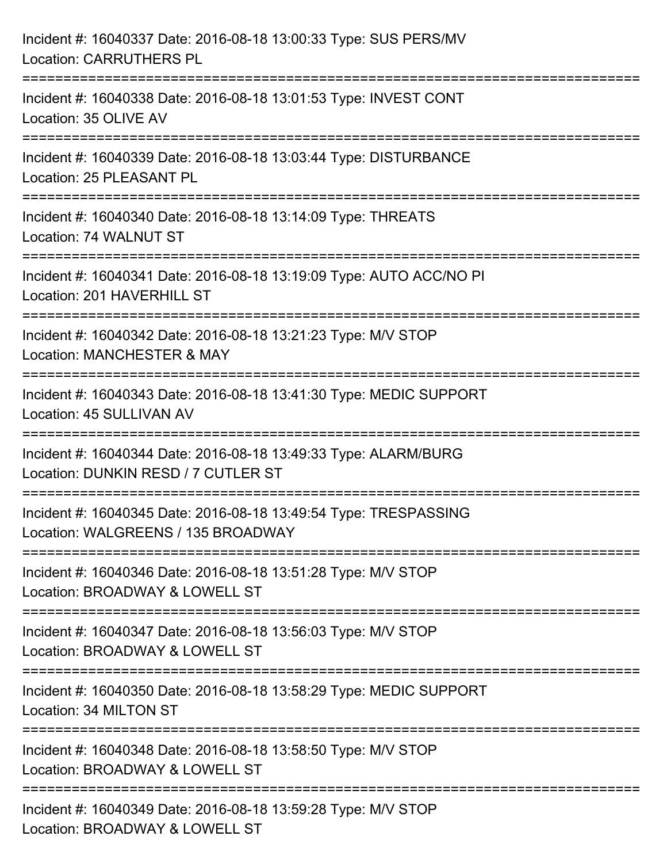| Incident #: 16040337 Date: 2016-08-18 13:00:33 Type: SUS PERS/MV<br><b>Location: CARRUTHERS PL</b>                                |
|-----------------------------------------------------------------------------------------------------------------------------------|
| ====================================<br>Incident #: 16040338 Date: 2016-08-18 13:01:53 Type: INVEST CONT<br>Location: 35 OLIVE AV |
| -------------------<br>Incident #: 16040339 Date: 2016-08-18 13:03:44 Type: DISTURBANCE<br>Location: 25 PLEASANT PL               |
| Incident #: 16040340 Date: 2016-08-18 13:14:09 Type: THREATS<br>Location: 74 WALNUT ST                                            |
| Incident #: 16040341 Date: 2016-08-18 13:19:09 Type: AUTO ACC/NO PI<br>Location: 201 HAVERHILL ST                                 |
| Incident #: 16040342 Date: 2016-08-18 13:21:23 Type: M/V STOP<br>Location: MANCHESTER & MAY                                       |
| Incident #: 16040343 Date: 2016-08-18 13:41:30 Type: MEDIC SUPPORT<br>Location: 45 SULLIVAN AV                                    |
| Incident #: 16040344 Date: 2016-08-18 13:49:33 Type: ALARM/BURG<br>Location: DUNKIN RESD / 7 CUTLER ST                            |
| Incident #: 16040345 Date: 2016-08-18 13:49:54 Type: TRESPASSING<br>Location: WALGREENS / 135 BROADWAY                            |
| Incident #: 16040346 Date: 2016-08-18 13:51:28 Type: M/V STOP<br>Location: BROADWAY & LOWELL ST                                   |
| Incident #: 16040347 Date: 2016-08-18 13:56:03 Type: M/V STOP<br>Location: BROADWAY & LOWELL ST                                   |
| --------------------<br>Incident #: 16040350 Date: 2016-08-18 13:58:29 Type: MEDIC SUPPORT<br>Location: 34 MILTON ST              |
| Incident #: 16040348 Date: 2016-08-18 13:58:50 Type: M/V STOP<br>Location: BROADWAY & LOWELL ST                                   |
| Incident #: 16040349 Date: 2016-08-18 13:59:28 Type: M/V STOP<br>Location: BROADWAY & LOWELL ST                                   |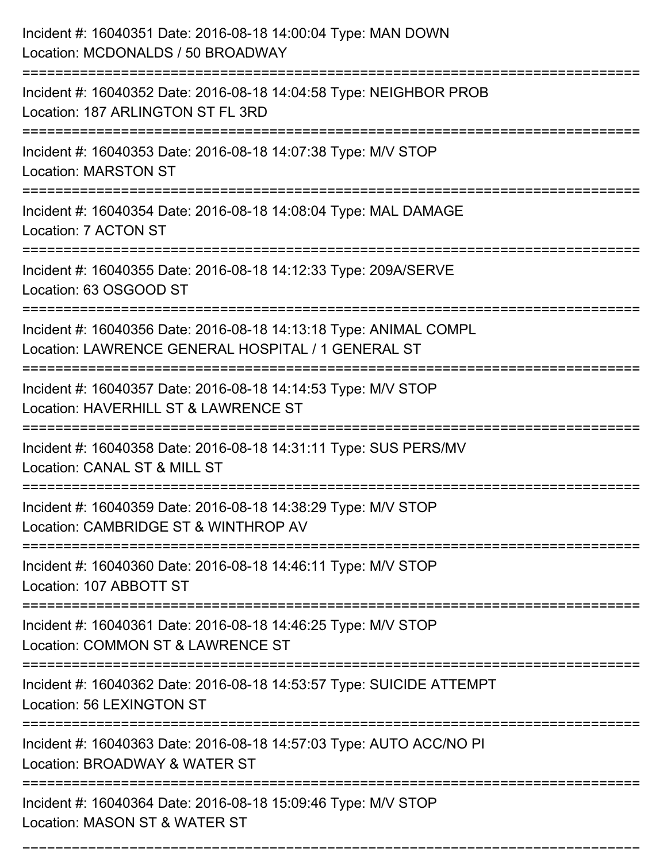| Incident #: 16040351 Date: 2016-08-18 14:00:04 Type: MAN DOWN<br>Location: MCDONALDS / 50 BROADWAY                            |
|-------------------------------------------------------------------------------------------------------------------------------|
| Incident #: 16040352 Date: 2016-08-18 14:04:58 Type: NEIGHBOR PROB<br>Location: 187 ARLINGTON ST FL 3RD                       |
| Incident #: 16040353 Date: 2016-08-18 14:07:38 Type: M/V STOP<br><b>Location: MARSTON ST</b>                                  |
| Incident #: 16040354 Date: 2016-08-18 14:08:04 Type: MAL DAMAGE<br>Location: 7 ACTON ST                                       |
| Incident #: 16040355 Date: 2016-08-18 14:12:33 Type: 209A/SERVE<br>Location: 63 OSGOOD ST                                     |
| Incident #: 16040356 Date: 2016-08-18 14:13:18 Type: ANIMAL COMPL<br>Location: LAWRENCE GENERAL HOSPITAL / 1 GENERAL ST       |
| Incident #: 16040357 Date: 2016-08-18 14:14:53 Type: M/V STOP<br>Location: HAVERHILL ST & LAWRENCE ST                         |
| Incident #: 16040358 Date: 2016-08-18 14:31:11 Type: SUS PERS/MV<br>Location: CANAL ST & MILL ST                              |
| Incident #: 16040359 Date: 2016-08-18 14:38:29 Type: M/V STOP<br>Location: CAMBRIDGE ST & WINTHROP AV                         |
| Incident #: 16040360 Date: 2016-08-18 14:46:11 Type: M/V STOP<br>Location: 107 ABBOTT ST                                      |
| Incident #: 16040361 Date: 2016-08-18 14:46:25 Type: M/V STOP<br>Location: COMMON ST & LAWRENCE ST<br>:====================== |
| Incident #: 16040362 Date: 2016-08-18 14:53:57 Type: SUICIDE ATTEMPT<br><b>Location: 56 LEXINGTON ST</b>                      |
| Incident #: 16040363 Date: 2016-08-18 14:57:03 Type: AUTO ACC/NO PI<br>Location: BROADWAY & WATER ST                          |
| Incident #: 16040364 Date: 2016-08-18 15:09:46 Type: M/V STOP<br>Location: MASON ST & WATER ST                                |

===========================================================================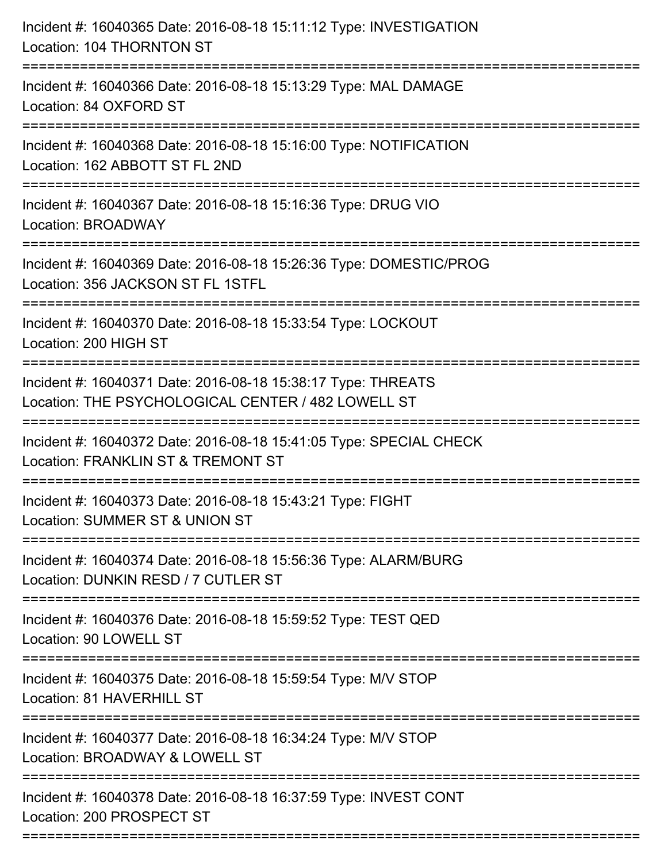| Incident #: 16040365 Date: 2016-08-18 15:11:12 Type: INVESTIGATION<br>Location: 104 THORNTON ST                    |
|--------------------------------------------------------------------------------------------------------------------|
| Incident #: 16040366 Date: 2016-08-18 15:13:29 Type: MAL DAMAGE<br>Location: 84 OXFORD ST                          |
| Incident #: 16040368 Date: 2016-08-18 15:16:00 Type: NOTIFICATION<br>Location: 162 ABBOTT ST FL 2ND                |
| Incident #: 16040367 Date: 2016-08-18 15:16:36 Type: DRUG VIO<br>Location: BROADWAY                                |
| Incident #: 16040369 Date: 2016-08-18 15:26:36 Type: DOMESTIC/PROG<br>Location: 356 JACKSON ST FL 1STFL            |
| Incident #: 16040370 Date: 2016-08-18 15:33:54 Type: LOCKOUT<br>Location: 200 HIGH ST                              |
| Incident #: 16040371 Date: 2016-08-18 15:38:17 Type: THREATS<br>Location: THE PSYCHOLOGICAL CENTER / 482 LOWELL ST |
| Incident #: 16040372 Date: 2016-08-18 15:41:05 Type: SPECIAL CHECK<br>Location: FRANKLIN ST & TREMONT ST           |
| Incident #: 16040373 Date: 2016-08-18 15:43:21 Type: FIGHT<br>Location: SUMMER ST & UNION ST                       |
| Incident #: 16040374 Date: 2016-08-18 15:56:36 Type: ALARM/BURG<br>Location: DUNKIN RESD / 7 CUTLER ST             |
| Incident #: 16040376 Date: 2016-08-18 15:59:52 Type: TEST QED<br>Location: 90 LOWELL ST                            |
| Incident #: 16040375 Date: 2016-08-18 15:59:54 Type: M/V STOP<br>Location: 81 HAVERHILL ST                         |
| Incident #: 16040377 Date: 2016-08-18 16:34:24 Type: M/V STOP<br>Location: BROADWAY & LOWELL ST                    |
| Incident #: 16040378 Date: 2016-08-18 16:37:59 Type: INVEST CONT<br>Location: 200 PROSPECT ST                      |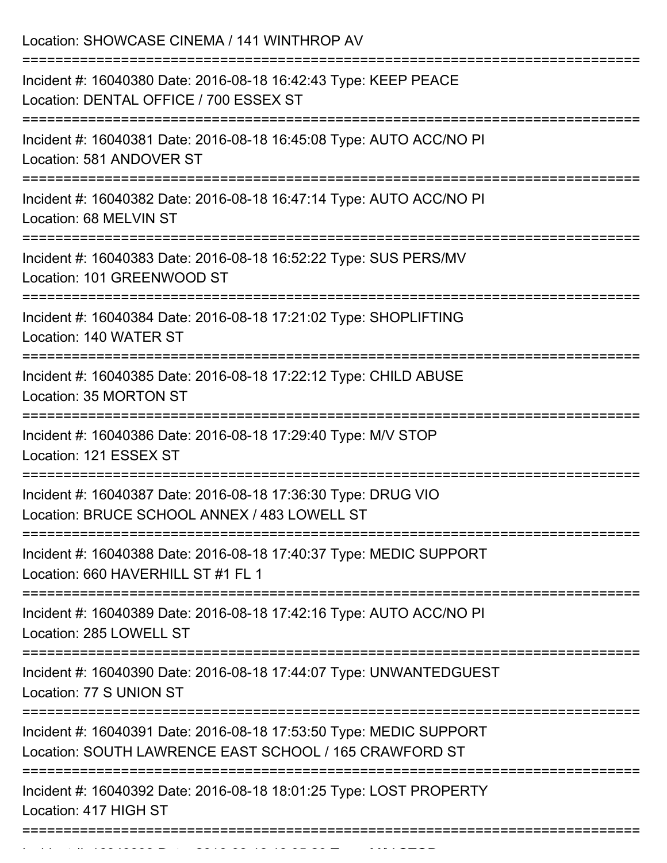Location: SHOWCASE CINEMA / 141 WINTHROP AV =========================================================================== Incident #: 16040380 Date: 2016-08-18 16:42:43 Type: KEEP PEACE Location: DENTAL OFFICE / 700 ESSEX ST =========================================================================== Incident #: 16040381 Date: 2016-08-18 16:45:08 Type: AUTO ACC/NO PI Location: 581 ANDOVER ST =========================================================================== Incident #: 16040382 Date: 2016-08-18 16:47:14 Type: AUTO ACC/NO PI Location: 68 MELVIN ST =========================================================================== Incident #: 16040383 Date: 2016-08-18 16:52:22 Type: SUS PERS/MV Location: 101 GREENWOOD ST =========================================================================== Incident #: 16040384 Date: 2016-08-18 17:21:02 Type: SHOPLIFTING Location: 140 WATER ST =========================================================================== Incident #: 16040385 Date: 2016-08-18 17:22:12 Type: CHILD ABUSE Location: 35 MORTON ST =========================================================================== Incident #: 16040386 Date: 2016-08-18 17:29:40 Type: M/V STOP Location: 121 ESSEX ST =========================================================================== Incident #: 16040387 Date: 2016-08-18 17:36:30 Type: DRUG VIO Location: BRUCE SCHOOL ANNEX / 483 LOWELL ST =========================================================================== Incident #: 16040388 Date: 2016-08-18 17:40:37 Type: MEDIC SUPPORT Location: 660 HAVERHILL ST #1 FL 1 =========================================================================== Incident #: 16040389 Date: 2016-08-18 17:42:16 Type: AUTO ACC/NO PI Location: 285 LOWELL ST =========================================================================== Incident #: 16040390 Date: 2016-08-18 17:44:07 Type: UNWANTEDGUEST Location: 77 S UNION ST =========================================================================== Incident #: 16040391 Date: 2016-08-18 17:53:50 Type: MEDIC SUPPORT Location: SOUTH LAWRENCE EAST SCHOOL / 165 CRAWFORD ST =========================================================================== Incident #: 16040392 Date: 2016-08-18 18:01:25 Type: LOST PROPERTY Location: 417 HIGH ST ===========================================================================

Incident #: 16040393 Date: 2016 08 18:05:20 Type: Microsoft.com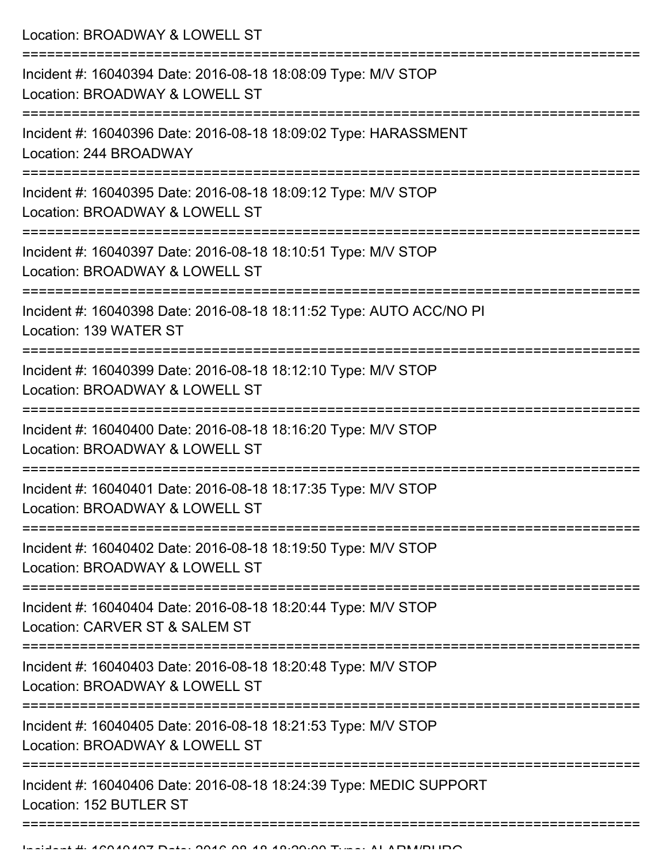Location: BROADWAY & LOWELL ST =========================================================================== Incident #: 16040394 Date: 2016-08-18 18:08:09 Type: M/V STOP Location: BROADWAY & LOWELL ST =========================================================================== Incident #: 16040396 Date: 2016-08-18 18:09:02 Type: HARASSMENT Location: 244 BROADWAY =========================================================================== Incident #: 16040395 Date: 2016-08-18 18:09:12 Type: M/V STOP Location: BROADWAY & LOWELL ST =========================================================================== Incident #: 16040397 Date: 2016-08-18 18:10:51 Type: M/V STOP Location: BROADWAY & LOWELL ST =========================================================================== Incident #: 16040398 Date: 2016-08-18 18:11:52 Type: AUTO ACC/NO PI Location: 139 WATER ST =========================================================================== Incident #: 16040399 Date: 2016-08-18 18:12:10 Type: M/V STOP Location: BROADWAY & LOWELL ST =========================================================================== Incident #: 16040400 Date: 2016-08-18 18:16:20 Type: M/V STOP Location: BROADWAY & LOWELL ST =========================================================================== Incident #: 16040401 Date: 2016-08-18 18:17:35 Type: M/V STOP Location: BROADWAY & LOWELL ST =========================================================================== Incident #: 16040402 Date: 2016-08-18 18:19:50 Type: M/V STOP Location: BROADWAY & LOWELL ST =========================================================================== Incident #: 16040404 Date: 2016-08-18 18:20:44 Type: M/V STOP Location: CARVER ST & SALEM ST =========================================================================== Incident #: 16040403 Date: 2016-08-18 18:20:48 Type: M/V STOP Location: BROADWAY & LOWELL ST =========================================================================== Incident #: 16040405 Date: 2016-08-18 18:21:53 Type: M/V STOP Location: BROADWAY & LOWELL ST =========================================================================== Incident #: 16040406 Date: 2016-08-18 18:24:39 Type: MEDIC SUPPORT Location: 152 BUTLER ST

=============================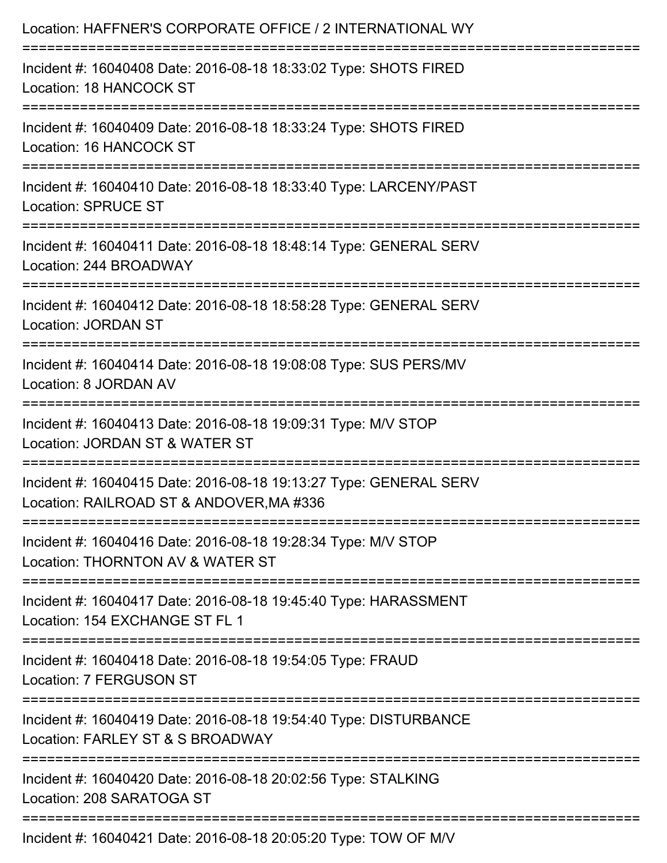| Location: HAFFNER'S CORPORATE OFFICE / 2 INTERNATIONAL WY                                                                     |
|-------------------------------------------------------------------------------------------------------------------------------|
| Incident #: 16040408 Date: 2016-08-18 18:33:02 Type: SHOTS FIRED<br>Location: 18 HANCOCK ST                                   |
| Incident #: 16040409 Date: 2016-08-18 18:33:24 Type: SHOTS FIRED<br>Location: 16 HANCOCK ST                                   |
| Incident #: 16040410 Date: 2016-08-18 18:33:40 Type: LARCENY/PAST<br><b>Location: SPRUCE ST</b>                               |
| Incident #: 16040411 Date: 2016-08-18 18:48:14 Type: GENERAL SERV<br>Location: 244 BROADWAY                                   |
| Incident #: 16040412 Date: 2016-08-18 18:58:28 Type: GENERAL SERV<br><b>Location: JORDAN ST</b>                               |
| Incident #: 16040414 Date: 2016-08-18 19:08:08 Type: SUS PERS/MV<br>Location: 8 JORDAN AV                                     |
| Incident #: 16040413 Date: 2016-08-18 19:09:31 Type: M/V STOP<br>Location: JORDAN ST & WATER ST                               |
| Incident #: 16040415 Date: 2016-08-18 19:13:27 Type: GENERAL SERV<br>Location: RAILROAD ST & ANDOVER, MA #336                 |
| Incident #: 16040416 Date: 2016-08-18 19:28:34 Type: M/V STOP<br>Location: THORNTON AV & WATER ST                             |
| Incident #: 16040417 Date: 2016-08-18 19:45:40 Type: HARASSMENT<br>Location: 154 EXCHANGE ST FL 1                             |
| ====================================<br>Incident #: 16040418 Date: 2016-08-18 19:54:05 Type: FRAUD<br>Location: 7 FERGUSON ST |
| Incident #: 16040419 Date: 2016-08-18 19:54:40 Type: DISTURBANCE<br>Location: FARLEY ST & S BROADWAY                          |
| Incident #: 16040420 Date: 2016-08-18 20:02:56 Type: STALKING<br>Location: 208 SARATOGA ST                                    |
| $A = 14.40101010104$                                                                                                          |

Incident #: 16040421 Date: 2016-08-18 20:05:20 Type: TOW OF M/V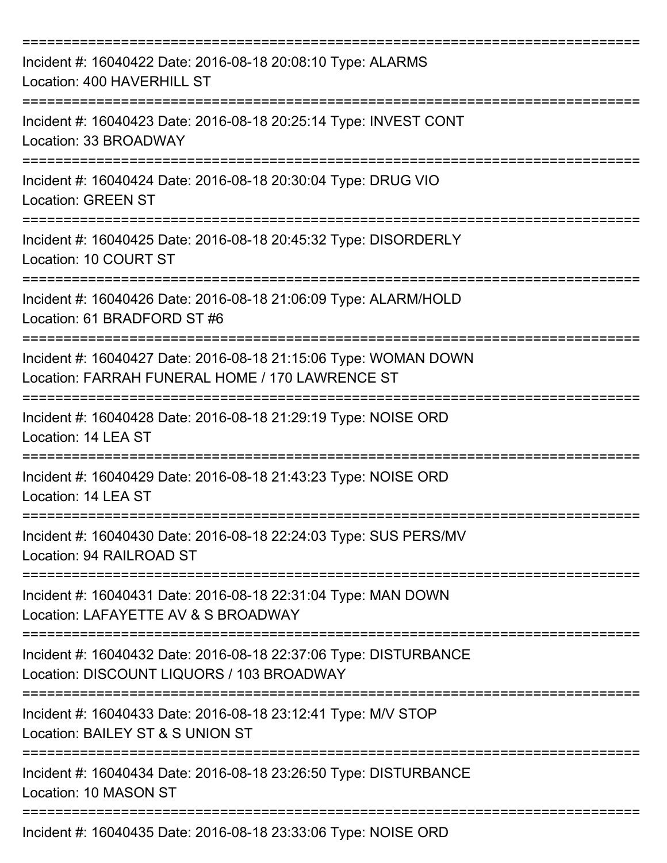| Incident #: 16040422 Date: 2016-08-18 20:08:10 Type: ALARMS<br>Location: 400 HAVERHILL ST                                               |
|-----------------------------------------------------------------------------------------------------------------------------------------|
| Incident #: 16040423 Date: 2016-08-18 20:25:14 Type: INVEST CONT<br>Location: 33 BROADWAY                                               |
| Incident #: 16040424 Date: 2016-08-18 20:30:04 Type: DRUG VIO<br><b>Location: GREEN ST</b>                                              |
| Incident #: 16040425 Date: 2016-08-18 20:45:32 Type: DISORDERLY<br>Location: 10 COURT ST                                                |
| Incident #: 16040426 Date: 2016-08-18 21:06:09 Type: ALARM/HOLD<br>Location: 61 BRADFORD ST #6<br>:==================================== |
| Incident #: 16040427 Date: 2016-08-18 21:15:06 Type: WOMAN DOWN<br>Location: FARRAH FUNERAL HOME / 170 LAWRENCE ST                      |
| Incident #: 16040428 Date: 2016-08-18 21:29:19 Type: NOISE ORD<br>Location: 14 LEA ST                                                   |
| Incident #: 16040429 Date: 2016-08-18 21:43:23 Type: NOISE ORD<br>Location: 14 LEA ST                                                   |
| Incident #: 16040430 Date: 2016-08-18 22:24:03 Type: SUS PERS/MV<br>Location: 94 RAILROAD ST                                            |
| Incident #: 16040431 Date: 2016-08-18 22:31:04 Type: MAN DOWN<br>Location: LAFAYETTE AV & S BROADWAY                                    |
| Incident #: 16040432 Date: 2016-08-18 22:37:06 Type: DISTURBANCE<br>Location: DISCOUNT LIQUORS / 103 BROADWAY                           |
| Incident #: 16040433 Date: 2016-08-18 23:12:41 Type: M/V STOP<br>Location: BAILEY ST & S UNION ST                                       |
| Incident #: 16040434 Date: 2016-08-18 23:26:50 Type: DISTURBANCE<br>Location: 10 MASON ST                                               |
| Incident #: 16040435 Date: 2016-08-18 23:33:06 Type: NOISE ORD                                                                          |